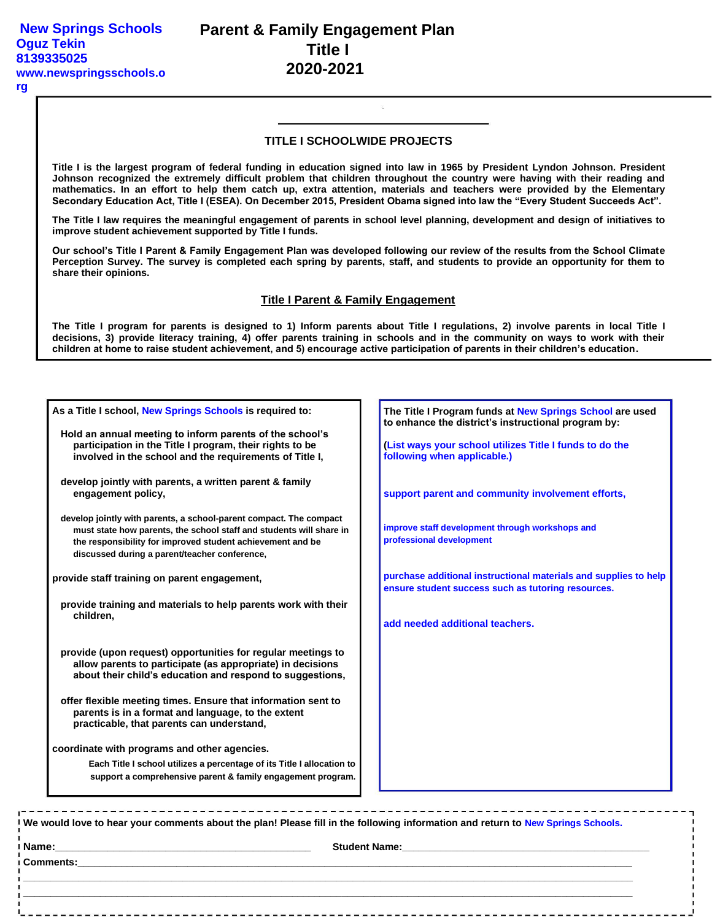#### **rg**

## **TITLE I SCHOOLWIDE PROJECTS**

**Title I is the largest program of federal funding in education signed into law in 1965 by President Lyndon Johnson. President Johnson recognized the extremely difficult problem that children throughout the country were having with their reading and mathematics. In an effort to help them catch up, extra attention, materials and teachers were provided by the Elementary Secondary Education Act, Title I (ESEA). On December 2015, President Obama signed into law the "Every Student Succeeds Act".**

**The Title I law requires the meaningful engagement of parents in school level planning, development and design of initiatives to improve student achievement supported by Title I funds.**

**Our school's Title I Parent & Family Engagement Plan was developed following our review of the results from the School Climate Perception Survey. The survey is completed each spring by parents, staff, and students to provide an opportunity for them to share their opinions.**

### **Title I Parent & Family Engagement**

**The Title I program for parents is designed to 1) Inform parents about Title I regulations, 2) involve parents in local Title I decisions, 3) provide literacy training, 4) offer parents training in schools and in the community on ways to work with their children at home to raise student achievement, and 5) encourage active participation of parents in their children's education.**

| As a Title I school, New Springs Schools is required to:                                                                                                                                                                                                 | The Title I Program funds at New Springs School are used<br>to enhance the district's instructional program by:                                                                                                                     |
|----------------------------------------------------------------------------------------------------------------------------------------------------------------------------------------------------------------------------------------------------------|-------------------------------------------------------------------------------------------------------------------------------------------------------------------------------------------------------------------------------------|
| Hold an annual meeting to inform parents of the school's<br>participation in the Title I program, their rights to be<br>involved in the school and the requirements of Title I,                                                                          | (List ways your school utilizes Title I funds to do the<br>following when applicable.)                                                                                                                                              |
| develop jointly with parents, a written parent & family<br>engagement policy,                                                                                                                                                                            | support parent and community involvement efforts,                                                                                                                                                                                   |
| develop jointly with parents, a school-parent compact. The compact<br>must state how parents, the school staff and students will share in<br>the responsibility for improved student achievement and be<br>discussed during a parent/teacher conference, | improve staff development through workshops and<br>professional development                                                                                                                                                         |
| provide staff training on parent engagement,                                                                                                                                                                                                             | purchase additional instructional materials and supplies to help<br>ensure student success such as tutoring resources.                                                                                                              |
| provide training and materials to help parents work with their<br>children.                                                                                                                                                                              | add needed additional teachers.                                                                                                                                                                                                     |
| provide (upon request) opportunities for regular meetings to<br>allow parents to participate (as appropriate) in decisions<br>about their child's education and respond to suggestions,                                                                  |                                                                                                                                                                                                                                     |
| offer flexible meeting times. Ensure that information sent to<br>parents is in a format and language, to the extent<br>practicable, that parents can understand,                                                                                         |                                                                                                                                                                                                                                     |
| coordinate with programs and other agencies.                                                                                                                                                                                                             |                                                                                                                                                                                                                                     |
| Each Title I school utilizes a percentage of its Title I allocation to<br>support a comprehensive parent & family engagement program.                                                                                                                    |                                                                                                                                                                                                                                     |
| . In the the three than the complete the complete than the complete than<br>We would love to hear your comments about the plan! Please fill in the following information and return to New Springs Schools.                                              |                                                                                                                                                                                                                                     |
|                                                                                                                                                                                                                                                          |                                                                                                                                                                                                                                     |
|                                                                                                                                                                                                                                                          | <b>Comments: Exercísion Comments:</b> And Comments: And Comments: And Comments: And Comments: And Comments: And Comments: And Comments: And Comments: And Comments: And Comments: And Comments: And Comments: And Comments: And Com |